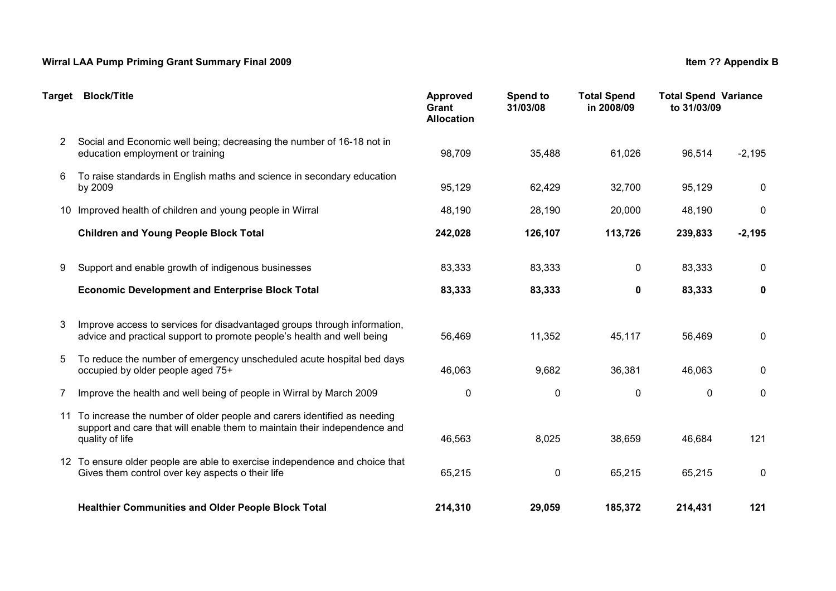## Wirral LAA Pump Priming Grant Summary Final 2009 **Item 2008** Item ?? Appendix B

|                      | Target Block/Title                                                                                                                                                      | Approved<br>Grant<br><b>Allocation</b> | Spend to<br>31/03/08 | <b>Total Spend</b><br>in 2008/09 | <b>Total Spend Variance</b><br>to 31/03/09 |          |
|----------------------|-------------------------------------------------------------------------------------------------------------------------------------------------------------------------|----------------------------------------|----------------------|----------------------------------|--------------------------------------------|----------|
| $\mathbf{2}^{\circ}$ | Social and Economic well being; decreasing the number of 16-18 not in<br>education employment or training                                                               | 98,709                                 | 35,488               | 61,026                           | 96,514                                     | $-2,195$ |
| 6                    | To raise standards in English maths and science in secondary education<br>by 2009                                                                                       | 95,129                                 | 62,429               | 32,700                           | 95,129                                     | 0        |
|                      | 10 Improved health of children and young people in Wirral                                                                                                               | 48,190                                 | 28,190               | 20,000                           | 48,190                                     | 0        |
|                      | <b>Children and Young People Block Total</b>                                                                                                                            | 242,028                                | 126,107              | 113,726                          | 239,833                                    | $-2,195$ |
| 9                    | Support and enable growth of indigenous businesses                                                                                                                      | 83,333                                 | 83,333               | 0                                | 83,333                                     | 0        |
|                      | <b>Economic Development and Enterprise Block Total</b>                                                                                                                  | 83,333                                 | 83,333               | $\mathbf 0$                      | 83,333                                     | 0        |
| 3                    | Improve access to services for disadvantaged groups through information,<br>advice and practical support to promote people's health and well being                      | 56,469                                 | 11,352               | 45,117                           | 56,469                                     | 0        |
| 5                    | To reduce the number of emergency unscheduled acute hospital bed days<br>occupied by older people aged 75+                                                              | 46,063                                 | 9,682                | 36,381                           | 46,063                                     | 0        |
| 7                    | Improve the health and well being of people in Wirral by March 2009                                                                                                     | $\pmb{0}$                              | 0                    | $\pmb{0}$                        | $\pmb{0}$                                  | 0        |
| 11                   | To increase the number of older people and carers identified as needing<br>support and care that will enable them to maintain their independence and<br>quality of life | 46,563                                 | 8,025                | 38,659                           | 46,684                                     | 121      |
|                      | 12 To ensure older people are able to exercise independence and choice that<br>Gives them control over key aspects o their life                                         | 65,215                                 | 0                    | 65,215                           | 65,215                                     | 0        |
|                      | <b>Healthier Communities and Older People Block Total</b>                                                                                                               | 214,310                                | 29,059               | 185,372                          | 214,431                                    | 121      |